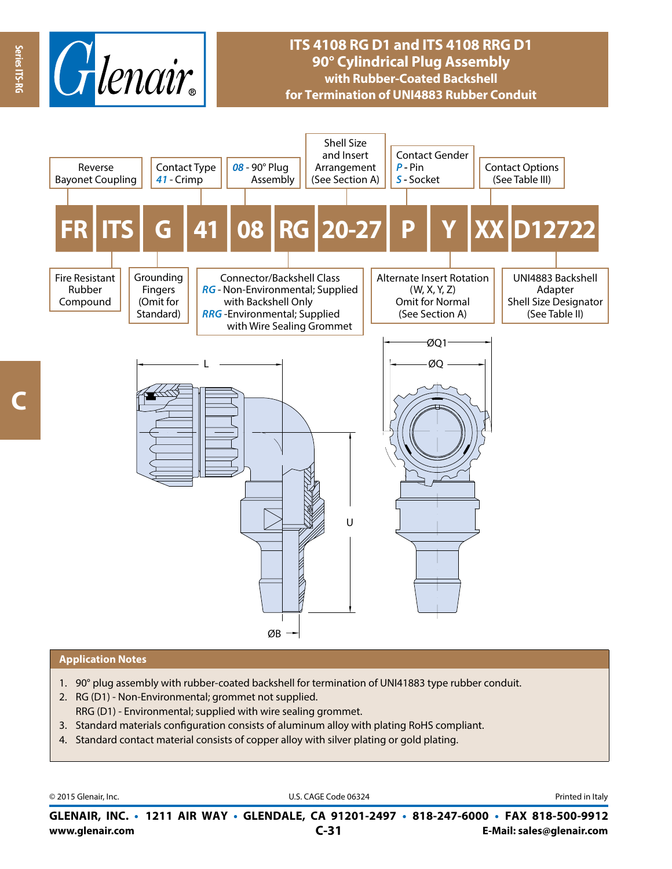

# **ITS 4108 RG D1 and ITS 4108 RRG D1 90° Cylindrical Plug Assembly with Rubber-Coated Backshell for Termination of UNI4883 Rubber Conduit**



#### **Application Notes**

- 1. 90° plug assembly with rubber-coated backshell for termination of UNI41883 type rubber conduit.
- 2. RG (D1) Non-Environmental; grommet not supplied. RRG (D1) - Environmental; supplied with wire sealing grommet.
- 3. Standard materials configuration consists of aluminum alloy with plating RoHS compliant.
- 4. Standard contact material consists of copper alloy with silver plating or gold plating.

© 2015 Glenair, Inc. **Discription Construction Construction Construction Construction Construction Construction Construction Construction Construction Construction Construction Construction Construction Construction Constr** 

**www.glenair.com E-Mail: sales@glenair.com GLENAIR, INC. • 1211 AIR WAY • GLENDALE, CA 91201-2497 • 818-247-6000 • FAX 818-500-9912 C-31**